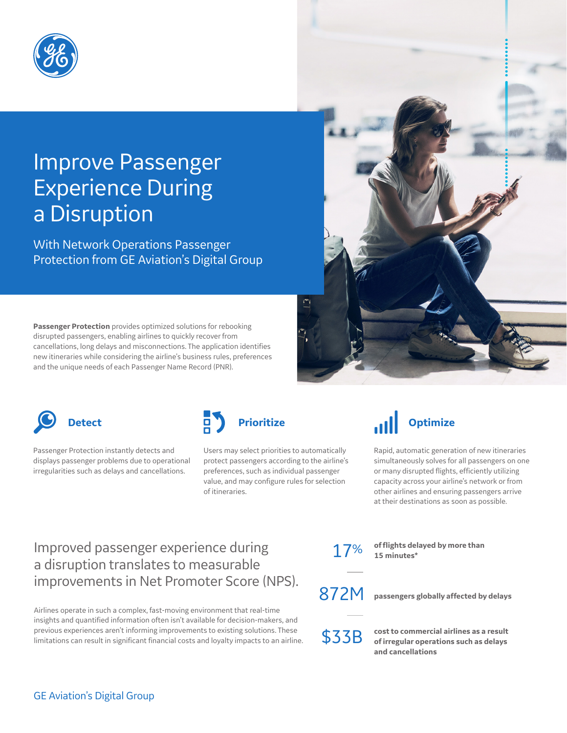

# Improve Passenger Experience During a Disruption

With Network Operations Passenger Protection from GE Aviation's Digital Group

**Passenger Protection** provides optimized solutions for rebooking disrupted passengers, enabling airlines to quickly recover from cancellations, long delays and misconnections. The application identifies new itineraries while considering the airline's business rules, preferences and the unique needs of each Passenger Name Record (PNR).





Passenger Protection instantly detects and displays passenger problems due to operational irregularities such as delays and cancellations.



Users may select priorities to automatically protect passengers according to the airline's preferences, such as individual passenger value, and may configure rules for selection of itineraries.



Rapid, automatic generation of new itineraries simultaneously solves for all passengers on one or many disrupted flights, efficiently utilizing capacity across your airline's network or from other airlines and ensuring passengers arrive at their destinations as soon as possible.

#### Improved passenger experience during a disruption translates to measurable improvements in Net Promoter Score (NPS).

Airlines operate in such a complex, fast-moving environment that real-time insights and quantified information often isn't available for decision-makers, and previous experiences aren't informing improvements to existing solutions. These limitations can result in significant financial costs and loyalty impacts to an airline. 17% **of flights delayed by more than 15 minutes\***

872M **passengers globally affected by delays**

\$33B **cost to commercial airlines as a result of irregular operations such as delays and cancellations**